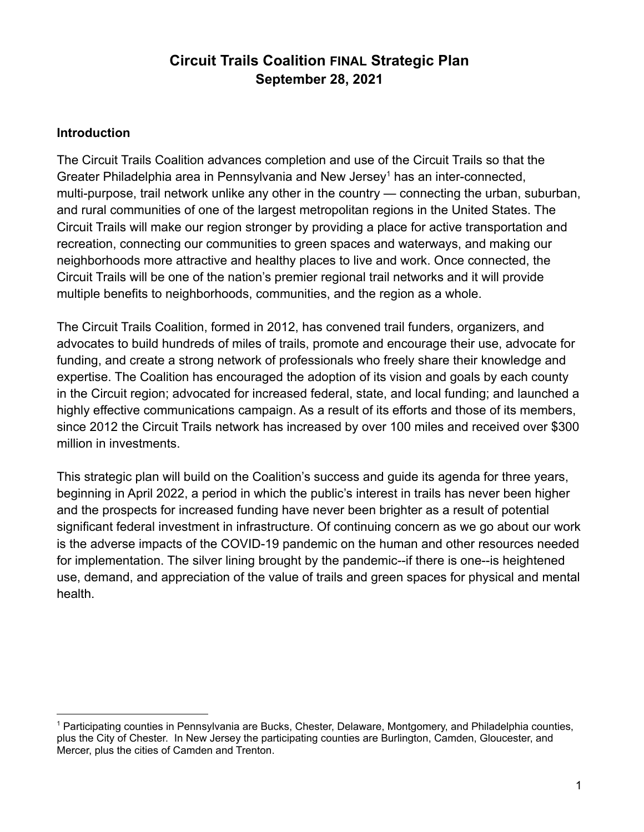# **Circuit Trails Coalition FINAL Strategic Plan September 28, 2021**

### **Introduction**

The Circuit Trails Coalition advances completion and use of the Circuit Trails so that the Greater Philadelphia area in Pennsylvania and New Jersey<sup>1</sup> has an inter-connected, multi-purpose, trail network unlike any other in the country — connecting the urban, suburban, and rural communities of one of the largest metropolitan regions in the United States. The Circuit Trails will make our region stronger by providing a place for active transportation and recreation, connecting our communities to green spaces and waterways, and making our neighborhoods more attractive and healthy places to live and work. Once connected, the Circuit Trails will be one of the nation's premier regional trail networks and it will provide multiple benefits to neighborhoods, communities, and the region as a whole.

The Circuit Trails Coalition, formed in 2012, has convened trail funders, organizers, and advocates to build hundreds of miles of trails, promote and encourage their use, advocate for funding, and create a strong network of professionals who freely share their knowledge and expertise. The Coalition has encouraged the adoption of its vision and goals by each county in the Circuit region; advocated for increased federal, state, and local funding; and launched a highly effective communications campaign. As a result of its efforts and those of its members, since 2012 the Circuit Trails network has increased by over 100 miles and received over \$300 million in investments.

This strategic plan will build on the Coalition's success and guide its agenda for three years, beginning in April 2022, a period in which the public's interest in trails has never been higher and the prospects for increased funding have never been brighter as a result of potential significant federal investment in infrastructure. Of continuing concern as we go about our work is the adverse impacts of the COVID-19 pandemic on the human and other resources needed for implementation. The silver lining brought by the pandemic--if there is one--is heightened use, demand, and appreciation of the value of trails and green spaces for physical and mental health.

<sup>1</sup> Participating counties in Pennsylvania are Bucks, Chester, Delaware, Montgomery, and Philadelphia counties, plus the City of Chester. In New Jersey the participating counties are Burlington, Camden, Gloucester, and Mercer, plus the cities of Camden and Trenton.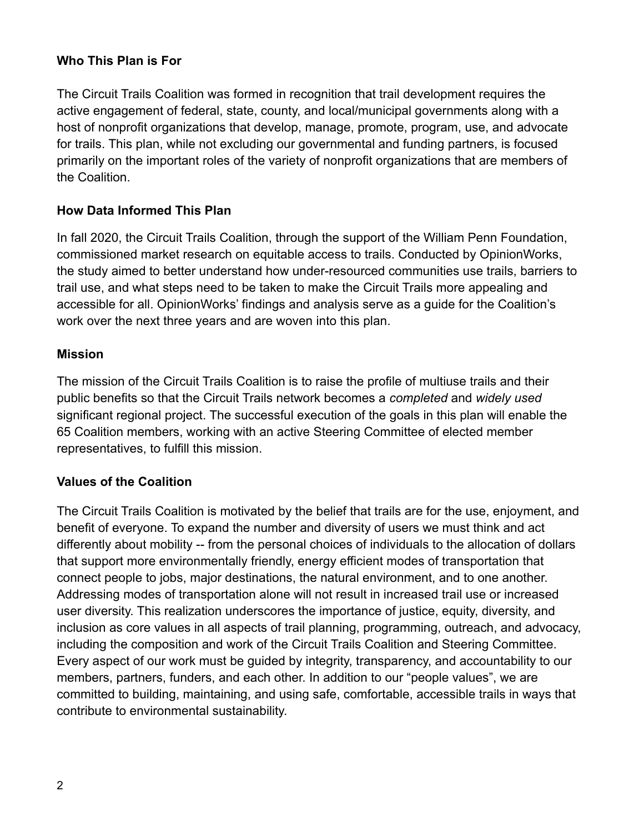### **Who This Plan is For**

The Circuit Trails Coalition was formed in recognition that trail development requires the active engagement of federal, state, county, and local/municipal governments along with a host of nonprofit organizations that develop, manage, promote, program, use, and advocate for trails. This plan, while not excluding our governmental and funding partners, is focused primarily on the important roles of the variety of nonprofit organizations that are members of the Coalition.

#### **How Data Informed This Plan**

In fall 2020, the Circuit Trails Coalition, through the support of the William Penn Foundation, commissioned market research on equitable access to trails. Conducted by OpinionWorks, the study aimed to better understand how under-resourced communities use trails, barriers to trail use, and what steps need to be taken to make the Circuit Trails more appealing and accessible for all. OpinionWorks' findings and analysis serve as a guide for the Coalition's work over the next three years and are woven into this plan.

#### **Mission**

The mission of the Circuit Trails Coalition is to raise the profile of multiuse trails and their public benefits so that the Circuit Trails network becomes a *completed* and *widely used* significant regional project. The successful execution of the goals in this plan will enable the 65 Coalition members, working with an active Steering Committee of elected member representatives, to fulfill this mission.

### **Values of the Coalition**

The Circuit Trails Coalition is motivated by the belief that trails are for the use, enjoyment, and benefit of everyone. To expand the number and diversity of users we must think and act differently about mobility -- from the personal choices of individuals to the allocation of dollars that support more environmentally friendly, energy efficient modes of transportation that connect people to jobs, major destinations, the natural environment, and to one another. Addressing modes of transportation alone will not result in increased trail use or increased user diversity. This realization underscores the importance of justice, equity, diversity, and inclusion as core values in all aspects of trail planning, programming, outreach, and advocacy, including the composition and work of the Circuit Trails Coalition and Steering Committee. Every aspect of our work must be guided by integrity, transparency, and accountability to our members, partners, funders, and each other. In addition to our "people values", we are committed to building, maintaining, and using safe, comfortable, accessible trails in ways that contribute to environmental sustainability.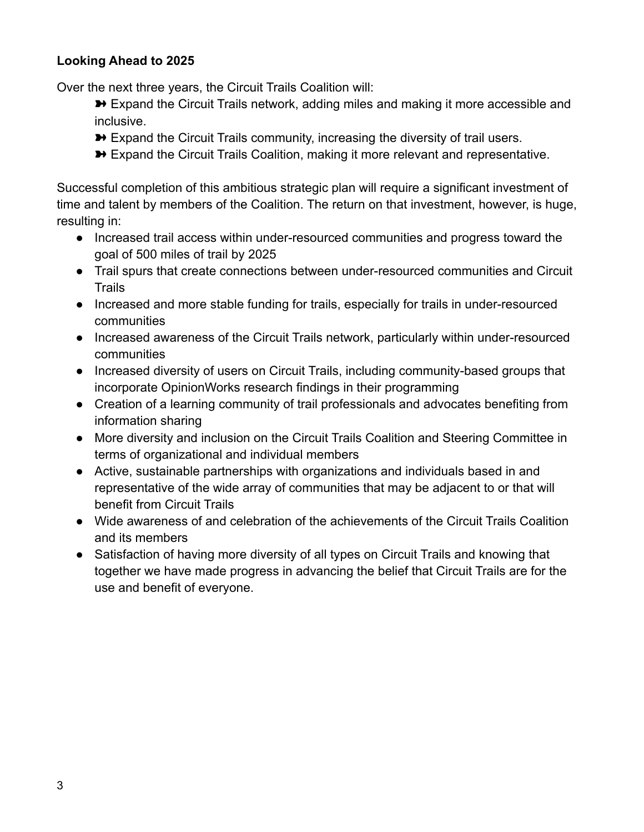### **Looking Ahead to 2025**

Over the next three years, the Circuit Trails Coalition will:

- **→** Expand the Circuit Trails network, adding miles and making it more accessible and inclusive.
- **→** Expand the Circuit Trails community, increasing the diversity of trail users.
- **→** Expand the Circuit Trails Coalition, making it more relevant and representative.

Successful completion of this ambitious strategic plan will require a significant investment of time and talent by members of the Coalition. The return on that investment, however, is huge, resulting in:

- Increased trail access within under-resourced communities and progress toward the goal of 500 miles of trail by 2025
- Trail spurs that create connections between under-resourced communities and Circuit Trails
- Increased and more stable funding for trails, especially for trails in under-resourced communities
- Increased awareness of the Circuit Trails network, particularly within under-resourced communities
- Increased diversity of users on Circuit Trails, including community-based groups that incorporate OpinionWorks research findings in their programming
- Creation of a learning community of trail professionals and advocates benefiting from information sharing
- More diversity and inclusion on the Circuit Trails Coalition and Steering Committee in terms of organizational and individual members
- Active, sustainable partnerships with organizations and individuals based in and representative of the wide array of communities that may be adjacent to or that will benefit from Circuit Trails
- Wide awareness of and celebration of the achievements of the Circuit Trails Coalition and its members
- Satisfaction of having more diversity of all types on Circuit Trails and knowing that together we have made progress in advancing the belief that Circuit Trails are for the use and benefit of everyone.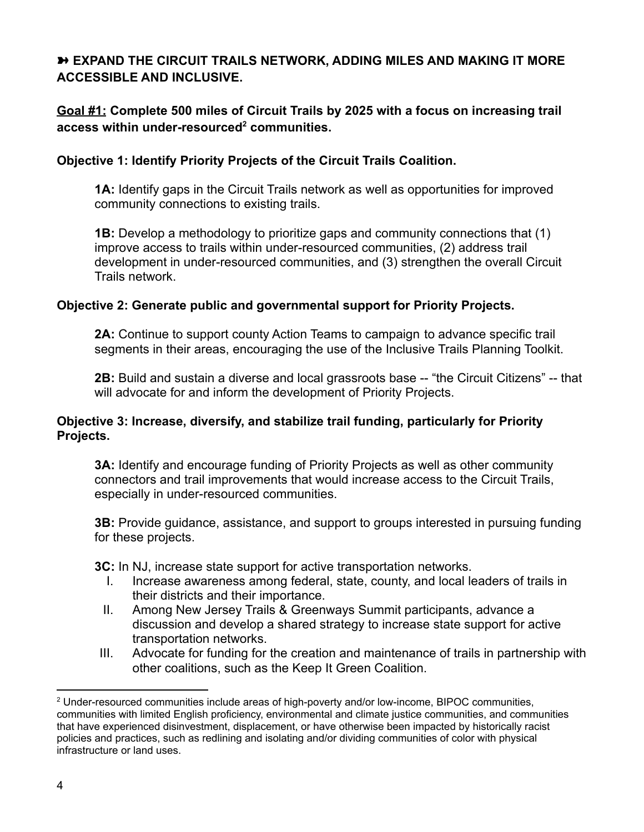# ➽ **EXPAND THE CIRCUIT TRAILS NETWORK, ADDING MILES AND MAKING IT MORE ACCESSIBLE AND INCLUSIVE.**

### **Goal #1: Complete 500 miles of Circuit Trails by 2025 with a focus on increasing trail access within under-resourced<sup>2</sup> communities.**

### **Objective 1: Identify Priority Projects of the Circuit Trails Coalition.**

**1A:** Identify gaps in the Circuit Trails network as well as opportunities for improved community connections to existing trails.

**1B:** Develop a methodology to prioritize gaps and community connections that (1) improve access to trails within under-resourced communities, (2) address trail development in under-resourced communities, and (3) strengthen the overall Circuit Trails network.

### **Objective 2: Generate public and governmental support for Priority Projects.**

**2A:** Continue to support county Action Teams to campaign to advance specific trail segments in their areas, encouraging the use of the Inclusive Trails Planning Toolkit.

**2B:** Build and sustain a diverse and local grassroots base -- "the Circuit Citizens" -- that will advocate for and inform the development of Priority Projects.

#### **Objective 3: Increase, diversify, and stabilize trail funding, particularly for Priority Projects.**

**3A:** Identify and encourage funding of Priority Projects as well as other community connectors and trail improvements that would increase access to the Circuit Trails, especially in under-resourced communities.

**3B:** Provide guidance, assistance, and support to groups interested in pursuing funding for these projects.

**3C:** In NJ, increase state support for active transportation networks.

- I. Increase awareness among federal, state, county, and local leaders of trails in their districts and their importance.
- II. Among New Jersey Trails & Greenways Summit participants, advance a discussion and develop a shared strategy to increase state support for active transportation networks.
- III. Advocate for funding for the creation and maintenance of trails in partnership with other coalitions, such as the Keep It Green Coalition.

<sup>2</sup> Under-resourced communities include areas of high-poverty and/or low-income, BIPOC communities, communities with limited English proficiency, environmental and climate justice communities, and communities that have experienced disinvestment, displacement, or have otherwise been impacted by historically racist policies and practices, such as redlining and isolating and/or dividing communities of color with physical infrastructure or land uses.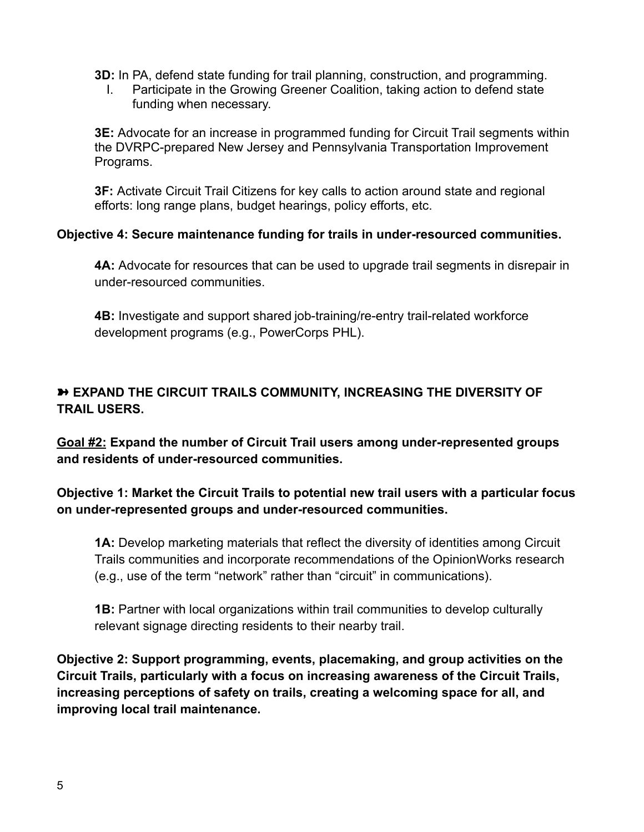**3D:** In PA, defend state funding for trail planning, construction, and programming.

I. Participate in the Growing Greener Coalition, taking action to defend state funding when necessary.

**3E:** Advocate for an increase in programmed funding for Circuit Trail segments within the DVRPC-prepared New Jersey and Pennsylvania Transportation Improvement Programs.

**3F:** Activate Circuit Trail Citizens for key calls to action around state and regional efforts: long range plans, budget hearings, policy efforts, etc.

### **Objective 4: Secure maintenance funding for trails in under-resourced communities.**

**4A:** Advocate for resources that can be used to upgrade trail segments in disrepair in under-resourced communities.

**4B:** Investigate and support shared job-training/re-entry trail-related workforce development programs (e.g., PowerCorps PHL).

# ➽ **EXPAND THE CIRCUIT TRAILS COMMUNITY, INCREASING THE DIVERSITY OF TRAIL USERS.**

**Goal #2: Expand the number of Circuit Trail users among under-represented groups and residents of under-resourced communities.**

# **Objective 1: Market the Circuit Trails to potential new trail users with a particular focus on under-represented groups and under-resourced communities.**

**1A:** Develop marketing materials that reflect the diversity of identities among Circuit Trails communities and incorporate recommendations of the OpinionWorks research (e.g., use of the term "network" rather than "circuit" in communications).

**1B:** Partner with local organizations within trail communities to develop culturally relevant signage directing residents to their nearby trail.

**Objective 2: Support programming, events, placemaking, and group activities on the Circuit Trails, particularly with a focus on increasing awareness of the Circuit Trails, increasing perceptions of safety on trails, creating a welcoming space for all, and improving local trail maintenance.**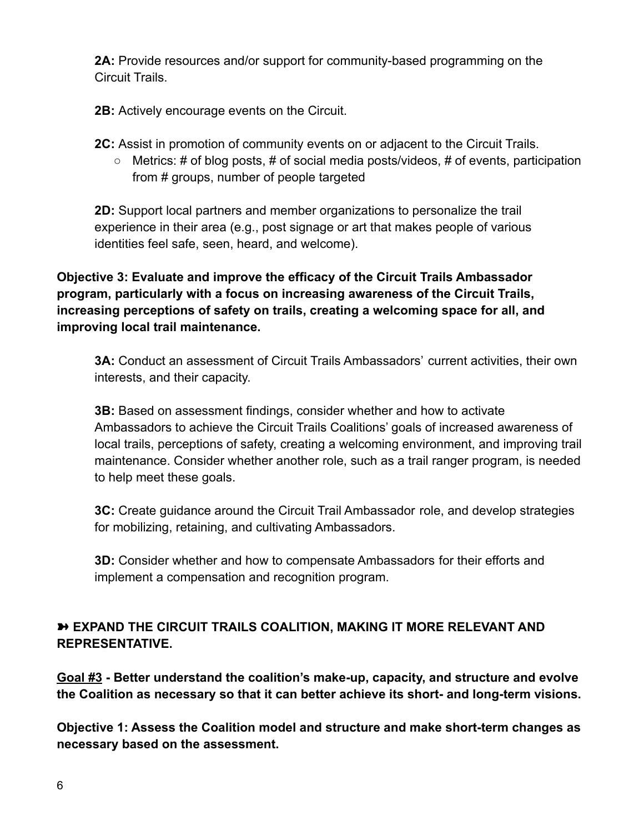**2A:** Provide resources and/or support for community-based programming on the Circuit Trails.

**2B:** Actively encourage events on the Circuit.

**2C:** Assist in promotion of community events on or adjacent to the Circuit Trails.

 $\circ$  Metrics: # of blog posts, # of social media posts/videos, # of events, participation from # groups, number of people targeted

**2D:** Support local partners and member organizations to personalize the trail experience in their area (e.g., post signage or art that makes people of various identities feel safe, seen, heard, and welcome).

**Objective 3: Evaluate and improve the efficacy of the Circuit Trails Ambassador program, particularly with a focus on increasing awareness of the Circuit Trails, increasing perceptions of safety on trails, creating a welcoming space for all, and improving local trail maintenance.**

**3A:** Conduct an assessment of Circuit Trails Ambassadors' current activities, their own interests, and their capacity.

**3B:** Based on assessment findings, consider whether and how to activate Ambassadors to achieve the Circuit Trails Coalitions' goals of increased awareness of local trails, perceptions of safety, creating a welcoming environment, and improving trail maintenance. Consider whether another role, such as a trail ranger program, is needed to help meet these goals.

**3C:** Create guidance around the Circuit Trail Ambassador role, and develop strategies for mobilizing, retaining, and cultivating Ambassadors.

**3D:** Consider whether and how to compensate Ambassadors for their efforts and implement a compensation and recognition program.

# ➽ **EXPAND THE CIRCUIT TRAILS COALITION, MAKING IT MORE RELEVANT AND REPRESENTATIVE.**

**Goal #3 - Better understand the coalition's make-up, capacity, and structure and evolve the Coalition as necessary so that it can better achieve its short- and long-term visions.**

**Objective 1: Assess the Coalition model and structure and make short-term changes as necessary based on the assessment.**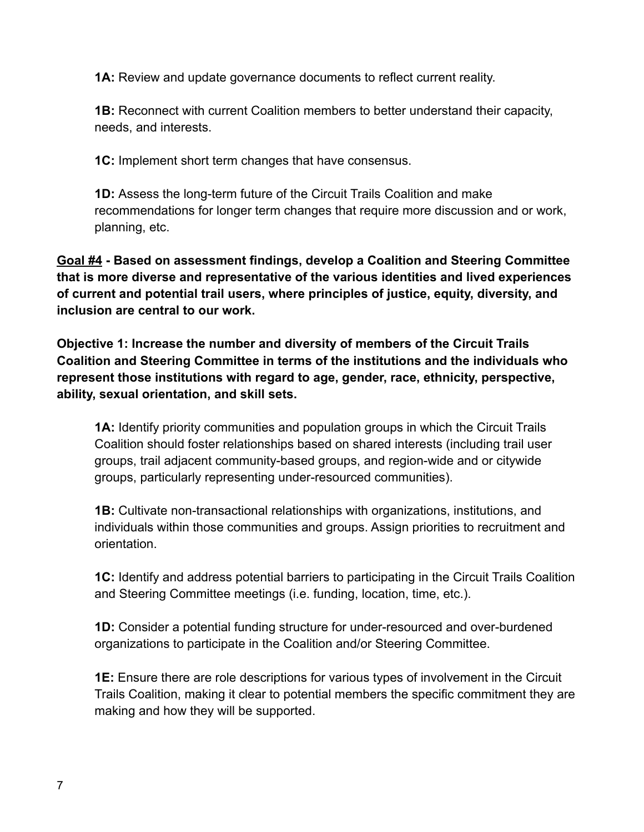**1A:** Review and update governance documents to reflect current reality.

**1B:** Reconnect with current Coalition members to better understand their capacity, needs, and interests.

**1C:** Implement short term changes that have consensus.

**1D:** Assess the long-term future of the Circuit Trails Coalition and make recommendations for longer term changes that require more discussion and or work, planning, etc.

**Goal #4 - Based on assessment findings, develop a Coalition and Steering Committee that is more diverse and representative of the various identities and lived experiences of current and potential trail users, where principles of justice, equity, diversity, and inclusion are central to our work.**

**Objective 1: Increase the number and diversity of members of the Circuit Trails Coalition and Steering Committee in terms of the institutions and the individuals who represent those institutions with regard to age, gender, race, ethnicity, perspective, ability, sexual orientation, and skill sets.**

**1A:** Identify priority communities and population groups in which the Circuit Trails Coalition should foster relationships based on shared interests (including trail user groups, trail adjacent community-based groups, and region-wide and or citywide groups, particularly representing under-resourced communities).

**1B:** Cultivate non-transactional relationships with organizations, institutions, and individuals within those communities and groups. Assign priorities to recruitment and orientation.

**1C:** Identify and address potential barriers to participating in the Circuit Trails Coalition and Steering Committee meetings (i.e. funding, location, time, etc.).

**1D:** Consider a potential funding structure for under-resourced and over-burdened organizations to participate in the Coalition and/or Steering Committee.

**1E:** Ensure there are role descriptions for various types of involvement in the Circuit Trails Coalition, making it clear to potential members the specific commitment they are making and how they will be supported.